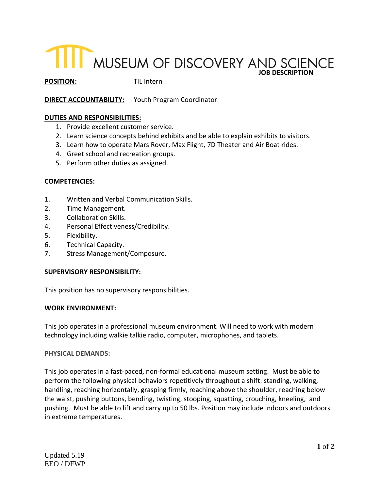# **JOB DESCRIPTION**

**POSITION:** TIL Intern

# **DIRECT ACCOUNTABILITY:** Youth Program Coordinator

### **DUTIES AND RESPONSIBILITIES:**

- 1. Provide excellent customer service.
- 2. Learn science concepts behind exhibits and be able to explain exhibits to visitors.
- 3. Learn how to operate Mars Rover, Max Flight, 7D Theater and Air Boat rides.
- 4. Greet school and recreation groups.
- 5. Perform other duties as assigned.

#### **COMPETENCIES:**

- 1. Written and Verbal Communication Skills.
- 2. Time Management.
- 3. Collaboration Skills.
- 4. Personal Effectiveness/Credibility.
- 5. Flexibility.
- 6. Technical Capacity.
- 7. Stress Management/Composure.

#### **SUPERVISORY RESPONSIBILITY:**

This position has no supervisory responsibilities.

#### **WORK ENVIRONMENT:**

This job operates in a professional museum environment. Will need to work with modern technology including walkie talkie radio, computer, microphones, and tablets.

#### **PHYSICAL DEMANDS:**

This job operates in a fast-paced, non-formal educational museum setting. Must be able to perform the following physical behaviors repetitively throughout a shift: standing, walking, handling, reaching horizontally, grasping firmly, reaching above the shoulder, reaching below the waist, pushing buttons, bending, twisting, stooping, squatting, crouching, kneeling, and pushing. Must be able to lift and carry up to 50 lbs. Position may include indoors and outdoors in extreme temperatures.